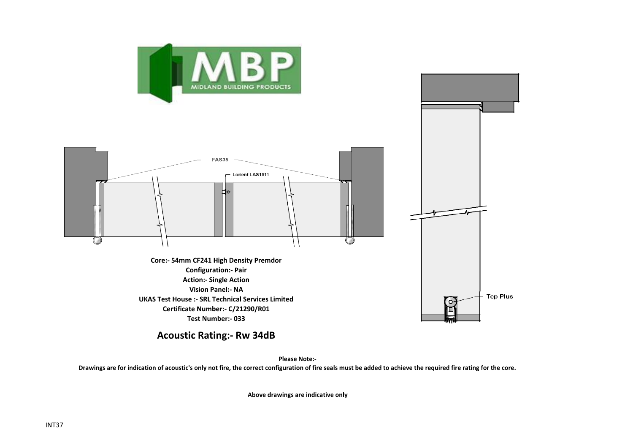



**Acoustic Rating:- Rw 34dB**

**Please Note:-** 

**Drawings are for indication of acoustic's only not fire, the correct configuration of fire seals must be added to achieve the required fire rating for the core.**

**Above drawings are indicative only**